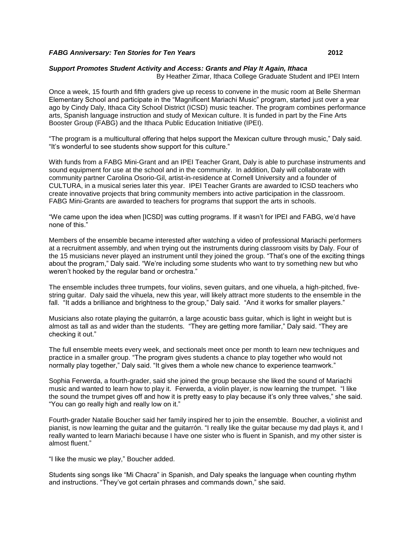## *FABG Anniversary: Ten Stories for Ten Years* **2012**

## *Support Promotes Student Activity and Access: Grants and Play It Again, Ithaca*

By Heather Zimar, Ithaca College Graduate Student and IPEI Intern

Once a week, 15 fourth and fifth graders give up recess to convene in the music room at Belle Sherman Elementary School and participate in the "Magnificent Mariachi Music" program, started just over a year ago by Cindy Daly, Ithaca City School District (ICSD) music teacher. The program combines performance arts, Spanish language instruction and study of Mexican culture. It is funded in part by the Fine Arts Booster Group (FABG) and the Ithaca Public Education Initiative (IPEI).

"The program is a multicultural offering that helps support the Mexican culture through music," Daly said. "It's wonderful to see students show support for this culture."

With funds from a FABG Mini-Grant and an IPEI Teacher Grant, Daly is able to purchase instruments and sound equipment for use at the school and in the community. In addition, Daly will collaborate with community partner Carolina Osorio-Gil, artist-in-residence at Cornell University and a founder of CULTURA, in a musical series later this year. IPEI Teacher Grants are awarded to ICSD teachers who create innovative projects that bring community members into active participation in the classroom. FABG Mini-Grants are awarded to teachers for programs that support the arts in schools.

"We came upon the idea when [ICSD] was cutting programs. If it wasn't for IPEI and FABG, we'd have none of this."

Members of the ensemble became interested after watching a video of professional Mariachi performers at a recruitment assembly, and when trying out the instruments during classroom visits by Daly. Four of the 15 musicians never played an instrument until they joined the group. "That's one of the exciting things about the program," Daly said. "We're including some students who want to try something new but who weren't hooked by the regular band or orchestra."

The ensemble includes three trumpets, four violins, seven guitars, and one vihuela, a high-pitched, fivestring guitar. Daly said the vihuela, new this year, will likely attract more students to the ensemble in the fall. "It adds a brilliance and brightness to the group," Daly said. "And it works for smaller players."

Musicians also rotate playing the [guitarrón,](http://en.wikipedia.org/wiki/Guitarr%C3%B3n_mexicano) a large acoustic bass guitar, which is light in weight but is almost as tall as and wider than the students. "They are getting more familiar," Daly said. "They are checking it out."

The full ensemble meets every week, and sectionals meet once per month to learn new techniques and practice in a smaller group. "The program gives students a chance to play together who would not normally play together," Daly said. "It gives them a whole new chance to experience teamwork."

Sophia Ferwerda, a fourth-grader, said she joined the group because she liked the sound of Mariachi music and wanted to learn how to play it. Ferwerda, a violin player, is now learning the trumpet. "I like the sound the trumpet gives off and how it is pretty easy to play because it's only three valves," she said. "You can go really high and really low on it."

Fourth-grader Natalie Boucher said her family inspired her to join the ensemble. Boucher, a violinist and pianist, is now learning the guitar and the [guitarrón.](http://en.wikipedia.org/wiki/Guitarr%C3%B3n_mexicano) "I really like the guitar because my dad plays it, and I really wanted to learn Mariachi because I have one sister who is fluent in Spanish, and my other sister is almost fluent."

"I like the music we play," Boucher added.

Students sing songs like "Mi Chacra" in Spanish, and Daly speaks the language when counting rhythm and instructions. "They've got certain phrases and commands down," she said.